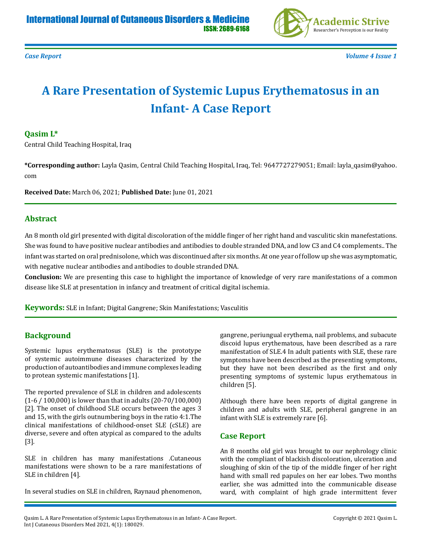

*Case Report Volume 4 Issue 1*

# **A Rare Presentation of Systemic Lupus Erythematosus in an Infant- A Case Report**

#### **Qasim L\***

Central Child Teaching Hospital, Iraq

**\*Corresponding author:** Layla Qasim, Central Child Teaching Hospital, Iraq, Tel: 9647727279051; Email: layla\_qasim@yahoo. com

**Received Date:** March 06, 2021; **Published Date:** June 01, 2021

#### **Abstract**

An 8 month old girl presented with digital discoloration of the middle finger of her right hand and vasculitic skin manefestations. She was found to have positive nuclear antibodies and antibodies to double stranded DNA, and low C3 and C4 complements.. The infant was started on oral prednisolone, which was discontinued after six months. At one year of follow up she was asymptomatic, with negative nuclear antibodies and antibodies to double stranded DNA.

**Conclusion:** We are presenting this case to highlight the importance of knowledge of very rare manifestations of a common disease like SLE at presentation in infancy and treatment of critical digital ischemia.

**Keywords:** SLE in Infant; Digital Gangrene; Skin Manifestations; Vasculitis

## **Background**

Systemic lupus erythematosus (SLE) is the prototype of systemic autoimmune diseases characterized by the production of autoantibodies and immune complexes leading to protean systemic manifestations [1].

The reported prevalence of SLE in children and adolescents (1-6 / 100,000) is lower than that in adults (20-70/100,000) [2]. The onset of childhood SLE occurs between the ages 3 and 15, with the girls outnumbering boys in the ratio 4:1.The clinical manifestations of childhood-onset SLE (cSLE) are diverse, severe and often atypical as compared to the adults [3].

SLE in children has many manifestations .Cutaneous manifestations were shown to be a rare manifestations of SLE in children [4].

In several studies on SLE in children, Raynaud phenomenon,

gangrene, periungual erythema, nail problems, and subacute discoid lupus erythematous, have been described as a rare manifestation of SLE.4 In adult patients with SLE, these rare symptoms have been described as the presenting symptoms, but they have not been described as the first and only presenting symptoms of systemic lupus erythematous in children [5].

Although there have been reports of digital gangrene in children and adults with SLE, peripheral gangrene in an infant with SLE is extremely rare [6].

## **Case Report**

An 8 months old girl was brought to our nephrology clinic with the compliant of blackish discoloration, ulceration and sloughing of skin of the tip of the middle finger of her right hand with small red papules on her ear lobes. Two months earlier, she was admitted into the communicable disease ward, with complaint of high grade intermittent fever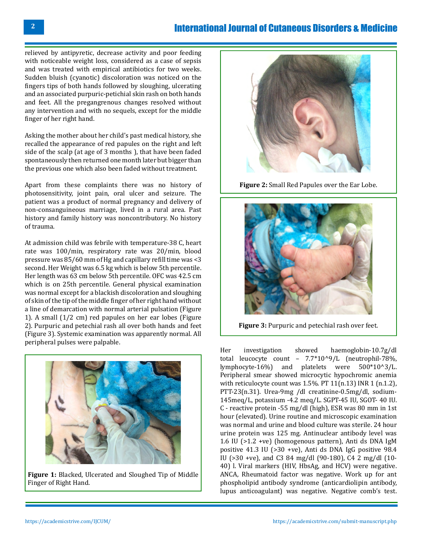# International Journal of Cutaneous Disorders & Medicine

relieved by antipyretic, decrease activity and poor feeding with noticeable weight loss, considered as a case of sepsis and was treated with empirical antibiotics for two weeks. Sudden bluish (cyanotic) discoloration was noticed on the fingers tips of both hands followed by sloughing, ulcerating and an associated purpuric-petichial skin rash on both hands and feet. All the pregangrenous changes resolved without any intervention and with no sequels, except for the middle finger of her right hand.

Asking the mother about her child's past medical history, she recalled the appearance of red papules on the right and left side of the scalp (at age of 3 months ), that have been faded spontaneously then returned one month later but bigger than the previous one which also been faded without treatment.

Apart from these complaints there was no history of photosensitivity, joint pain, oral ulcer and seizure. The patient was a product of normal pregnancy and delivery of non-consanguineous marriage, lived in a rural area. Past history and family history was noncontributory. No history of trauma.

At admission child was febrile with temperature-38 C, heart rate was 100/min, respiratory rate was 20/min, blood pressure was 85/60 mm of Hg and capillary refill time was <3 second. Her Weight was 6.5 kg which is below 5th percentile. Her length was 63 cm below 5th percentile. OFC was 42.5 cm which is on 25th percentile. General physical examination was normal except for a blackish discoloration and sloughing of skin of the tip of the middle finger of her right hand without a line of demarcation with normal arterial pulsation (Figure 1). A small (1/2 cm) red papules on her ear lobes (Figure 2). Purpuric and petechial rash all over both hands and feet (Figure 3). Systemic examination was apparently normal. All peripheral pulses were palpable.



**Figure 1:** Blacked, Ulcerated and Sloughed Tip of Middle Finger of Right Hand.



**Figure 2:** Small Red Papules over the Ear Lobe.



**Figure 3:** Purpuric and petechial rash over feet.

Her investigation showed haemoglobin-10.7g/dl total leucocyte count – 7.7\*10^9/L (neutrophil-78%, lymphocyte-16%) and platelets were 500\*10^3/L. Peripheral smear showed microcytic hypochromic anemia with reticulocyte count was 1.5%. PT 11(n.13) INR 1 (n.1.2), PTT-23(n.31). Urea-9mg /dl creatinine-0.5mg/dl, sodium-145meq/L, potassium -4.2 meq/L. SGPT-45 IU, SGOT- 40 IU. C - reactive protein -55 mg/dl (high), ESR was 80 mm in 1st hour (elevated). Urine routine and microscopic examination was normal and urine and blood culture was sterile. 24 hour urine protein was 125 mg. Antinuclear antibody level was 1.6 IU (>1.2 +ve) (homogenous pattern), Anti ds DNA IgM positive 41.3 IU (>30 +ve), Anti ds DNA IgG positive 98.4 IU (>30 +ve), and C3 84 mg/dl (90-180), C4 2 mg/dl (10- 40) l. Viral markers (HIV, HbsAg, and HCV) were negative. ANCA, Rheumatoid factor was negative. Work up for ant phospholipid antibody syndrome (anticardiolipin antibody, lupus anticoagulant) was negative. Negative comb's test.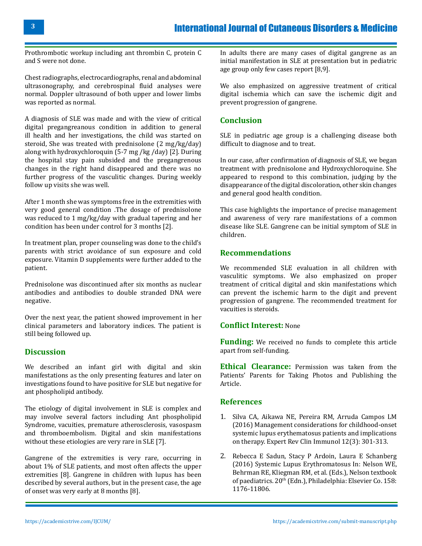Prothrombotic workup including ant thrombin C, protein C and S were not done.

Chest radiographs, electrocardiographs, renal and abdominal ultrasonography, and cerebrospinal fluid analyses were normal. Doppler ultrasound of both upper and lower limbs was reported as normal.

A diagnosis of SLE was made and with the view of critical digital pregangreanous condition in addition to general ill health and her investigations, the child was started on steroid, She was treated with prednisolone (2 mg/kg/day) along with hydroxychloroquin (5-7 mg /kg /day) [2]. During the hospital stay pain subsided and the pregangrenous changes in the right hand disappeared and there was no further progress of the vasculitic changes. During weekly follow up visits she was well.

After 1 month she was symptoms free in the extremities with very good general condition .The dosage of prednisolone was reduced to 1 mg/kg/day with gradual tapering and her condition has been under control for 3 months [2].

In treatment plan, proper counseling was done to the child's parents with strict avoidance of sun exposure and cold exposure. Vitamin D supplements were further added to the patient.

Prednisolone was discontinued after six months as nuclear antibodies and antibodies to double stranded DNA were negative.

Over the next year, the patient showed improvement in her clinical parameters and laboratory indices. The patient is still being followed up.

## **Discussion**

We described an infant girl with digital and skin manifestations as the only presenting features and later on investigations found to have positive for SLE but negative for ant phospholipid antibody.

The etiology of digital involvement in SLE is complex and may involve several factors including Ant phospholipid Syndrome, vacuities, premature atherosclerosis, vasospasm and thromboembolism. Digital and skin manifestations without these etiologies are very rare in SLE [7].

Gangrene of the extremities is very rare, occurring in about 1% of SLE patients, and most often affects the upper extremities [8]. Gangrene in children with lupus has been described by several authors, but in the present case, the age of onset was very early at 8 months [8].

In adults there are many cases of digital gangrene as an initial manifestation in SLE at presentation but in pediatric age group only few cases report [8,9].

We also emphasized on aggressive treatment of critical digital ischemia which can save the ischemic digit and prevent progression of gangrene.

## **Conclusion**

SLE in pediatric age group is a challenging disease both difficult to diagnose and to treat.

In our case, after confirmation of diagnosis of SLE, we began treatment with prednisolone and Hydroxychloroquine. She appeared to respond to this combination, judging by the disappearance of the digital discoloration, other skin changes and general good health condition.

This case highlights the importance of precise management and awareness of very rare manifestations of a common disease like SLE. Gangrene can be initial symptom of SLE in children.

# **Recommendations**

We recommended SLE evaluation in all children with vasculitic symptoms. We also emphasized on proper treatment of critical digital and skin manifestations which can prevent the ischemic harm to the digit and prevent progression of gangrene. The recommended treatment for vacuities is steroids.

#### **Conflict Interest:** None

**Funding:** We received no funds to complete this article apart from self-funding.

**Ethical Clearance:** Permission was taken from the Patients' Parents for Taking Photos and Publishing the Article.

#### **References**

- 1. [Silva CA, Aikawa NE, Pereira RM, Arruda Campos LM](https://pubmed.ncbi.nlm.nih.gov/26589476/) [\(2016\) Management considerations for childhood-onset](https://pubmed.ncbi.nlm.nih.gov/26589476/) [systemic lupus erythematosus patients and implications](https://pubmed.ncbi.nlm.nih.gov/26589476/)  [on therapy. Expert Rev Clin Immunol 12\(3\): 301-313.](https://pubmed.ncbi.nlm.nih.gov/26589476/)
- 2. Rebecca E Sadun, Stacy P Ardoin, Laura E Schanberg (2016) Systemic Lupus Erythromatosus In: Nelson WE, Behrman RE, Kliegman RM, et al. (Eds.), Nelson textbook of paediatrics. 20<sup>th</sup> (Edn.), Philadelphia: Elsevier Co. 158: 1176-11806.